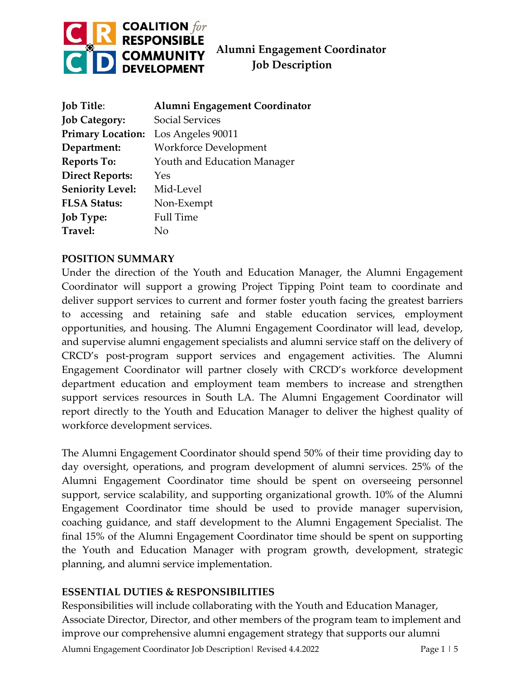

 **Job Description**

| <b>Job Title:</b>        | Alumni Engagement Coordinator |
|--------------------------|-------------------------------|
| <b>Job Category:</b>     | <b>Social Services</b>        |
| <b>Primary Location:</b> | Los Angeles 90011             |
| Department:              | <b>Workforce Development</b>  |
| <b>Reports To:</b>       | Youth and Education Manager   |
| <b>Direct Reports:</b>   | Yes                           |
| <b>Seniority Level:</b>  | Mid-Level                     |
| <b>FLSA Status:</b>      | Non-Exempt                    |
| <b>Job Type:</b>         | <b>Full Time</b>              |
| Travel:                  | Nο                            |

#### **POSITION SUMMARY**

Under the direction of the Youth and Education Manager, the Alumni Engagement Coordinator will support a growing Project Tipping Point team to coordinate and deliver support services to current and former foster youth facing the greatest barriers to accessing and retaining safe and stable education services, employment opportunities, and housing. The Alumni Engagement Coordinator will lead, develop, and supervise alumni engagement specialists and alumni service staff on the delivery of CRCD's post-program support services and engagement activities. The Alumni Engagement Coordinator will partner closely with CRCD's workforce development department education and employment team members to increase and strengthen support services resources in South LA. The Alumni Engagement Coordinator will report directly to the Youth and Education Manager to deliver the highest quality of workforce development services.

The Alumni Engagement Coordinator should spend 50% of their time providing day to day oversight, operations, and program development of alumni services. 25% of the Alumni Engagement Coordinator time should be spent on overseeing personnel support, service scalability, and supporting organizational growth. 10% of the Alumni Engagement Coordinator time should be used to provide manager supervision, coaching guidance, and staff development to the Alumni Engagement Specialist. The final 15% of the Alumni Engagement Coordinator time should be spent on supporting the Youth and Education Manager with program growth, development, strategic planning, and alumni service implementation.

### **ESSENTIAL DUTIES & RESPONSIBILITIES**

Responsibilities will include collaborating with the Youth and Education Manager, Associate Director, Director, and other members of the program team to implement and improve our comprehensive alumni engagement strategy that supports our alumni

Alumni Engagement Coordinator Job Description | Revised 4.4.2022 | Page 1 | 5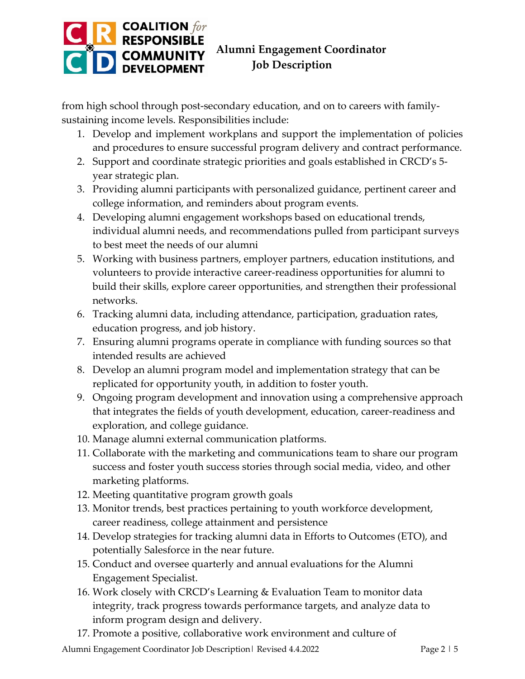# **COALITION**<br> **RESPONSIBLE**<br> **COMMUNITY** Alumni Engagement Coordinator<br> **DEVELOPMENT** Job Description

### **Job Description**

from high school through post-secondary education, and on to careers with familysustaining income levels. Responsibilities include:

- 1. Develop and implement workplans and support the implementation of policies and procedures to ensure successful program delivery and contract performance.
- 2. Support and coordinate strategic priorities and goals established in CRCD's 5 year strategic plan.
- 3. Providing alumni participants with personalized guidance, pertinent career and college information, and reminders about program events.
- 4. Developing alumni engagement workshops based on educational trends, individual alumni needs, and recommendations pulled from participant surveys to best meet the needs of our alumni
- 5. Working with business partners, employer partners, education institutions, and volunteers to provide interactive career-readiness opportunities for alumni to build their skills, explore career opportunities, and strengthen their professional networks.
- 6. Tracking alumni data, including attendance, participation, graduation rates, education progress, and job history.
- 7. Ensuring alumni programs operate in compliance with funding sources so that intended results are achieved
- 8. Develop an alumni program model and implementation strategy that can be replicated for opportunity youth, in addition to foster youth.
- 9. Ongoing program development and innovation using a comprehensive approach that integrates the fields of youth development, education, career-readiness and exploration, and college guidance.
- 10. Manage alumni external communication platforms.
- 11. Collaborate with the marketing and communications team to share our program success and foster youth success stories through social media, video, and other marketing platforms.
- 12. Meeting quantitative program growth goals
- 13. Monitor trends, best practices pertaining to youth workforce development, career readiness, college attainment and persistence
- 14. Develop strategies for tracking alumni data in Efforts to Outcomes (ETO), and potentially Salesforce in the near future.
- 15. Conduct and oversee quarterly and annual evaluations for the Alumni Engagement Specialist.
- 16. Work closely with CRCD's Learning & Evaluation Team to monitor data integrity, track progress towards performance targets, and analyze data to inform program design and delivery.
- 17. Promote a positive, collaborative work environment and culture of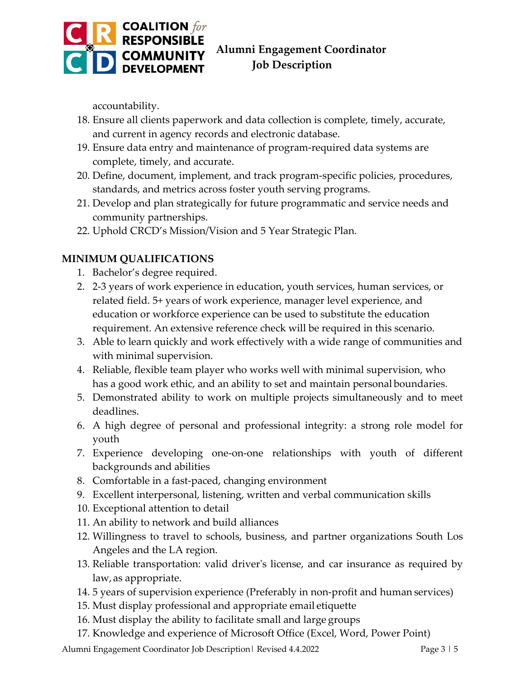

### **Job Description**

accountability.

- 18. Ensure all clients paperwork and data collection is complete, timely, accurate, and current in agency records and electronic database.
- 19. Ensure data entry and maintenance of program-required data systems are complete, timely, and accurate.
- 20. Define, document, implement, and track program-specific policies, procedures, standards, and metrics across foster youth serving programs.
- 21. Develop and plan strategically for future programmatic and service needs and community partnerships.
- 22. Uphold CRCD's Mission/Vision and 5 Year Strategic Plan.

### **MINIMUM QUALIFICATIONS**

- 1. Bachelor's degree required.
- 2. 2-3 years of work experience in education, youth services, human services, or related field. 5+ years of work experience, manager level experience, and education or workforce experience can be used to substitute the education requirement. An extensive reference check will be required in this scenario.
- 3. Able to learn quickly and work effectively with a wide range of communities and with minimal supervision.
- 4. Reliable, flexible team player who works well with minimal supervision, who has a good work ethic, and an ability to set and maintain personal boundaries.
- 5. Demonstrated ability to work on multiple projects simultaneously and to meet deadlines.
- 6. A high degree of personal and professional integrity: a strong role model for youth
- 7. Experience developing one-on-one relationships with youth of different backgrounds and abilities
- 8. Comfortable in a fast-paced, changing environment
- 9. Excellent interpersonal, listening, written and verbal communication skills
- 10. Exceptional attention to detail
- 11. An ability to network and build alliances
- 12. Willingness to travel to schools, business, and partner organizations South Los Angeles and the LA region.
- 13. Reliable transportation: valid driver's license, and car insurance as required by law,as appropriate.
- 14. 5 years of supervision experience (Preferably in non-profit and human services)
- 15. Must display professional and appropriate email etiquette
- 16. Must display the ability to facilitate small and large groups
- 17. Knowledge and experience of Microsoft Office (Excel, Word, Power Point)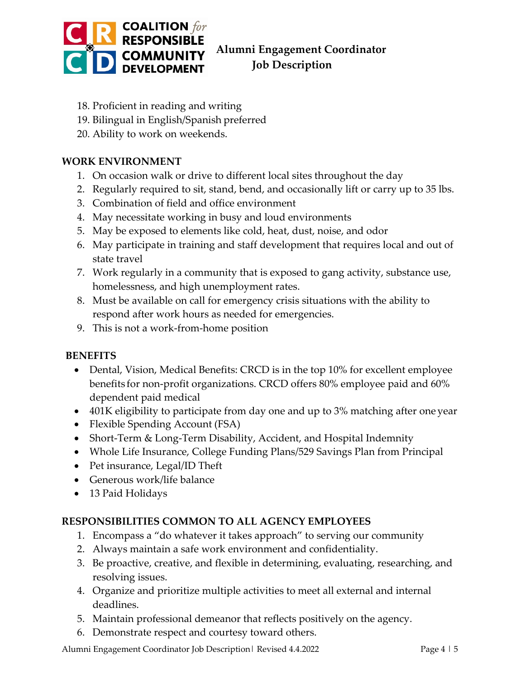

## **Job Description**

- 18. Proficient in reading and writing
- 19. Bilingual in English/Spanish preferred
- 20. Ability to work on weekends.

#### **WORK ENVIRONMENT**

- 1. On occasion walk or drive to different local sites throughout the day
- 2. Regularly required to sit, stand, bend, and occasionally lift or carry up to 35 lbs.
- 3. Combination of field and office environment
- 4. May necessitate working in busy and loud environments
- 5. May be exposed to elements like cold, heat, dust, noise, and odor
- 6. May participate in training and staff development that requires local and out of state travel
- 7. Work regularly in a community that is exposed to gang activity, substance use, homelessness, and high unemployment rates.
- 8. Must be available on call for emergency crisis situations with the ability to respond after work hours as needed for emergencies.
- 9. This is not a work-from-home position

### **BENEFITS**

- Dental, Vision, Medical Benefits: CRCD is in the top 10% for excellent employee benefits for non-profit organizations. CRCD offers 80% employee paid and 60% dependent paid medical
- 401K eligibility to participate from day one and up to 3% matching after one year
- Flexible Spending Account (FSA)
- Short-Term & Long-Term Disability, Accident, and Hospital Indemnity
- Whole Life Insurance, College Funding Plans/529 Savings Plan from Principal
- Pet insurance, Legal/ID Theft
- Generous work/life balance
- 13 Paid Holidays

### **RESPONSIBILITIES COMMON TO ALL AGENCY EMPLOYEES**

- 1. Encompass a "do whatever it takes approach" to serving our community
- 2. Always maintain a safe work environment and confidentiality.
- 3. Be proactive, creative, and flexible in determining, evaluating, researching, and resolving issues.
- 4. Organize and prioritize multiple activities to meet all external and internal deadlines.
- 5. Maintain professional demeanor that reflects positively on the agency.
- 6. Demonstrate respect and courtesy toward others.

Alumni Engagement Coordinator Job Description | Revised 4.4.2022 | Page 4 | 5